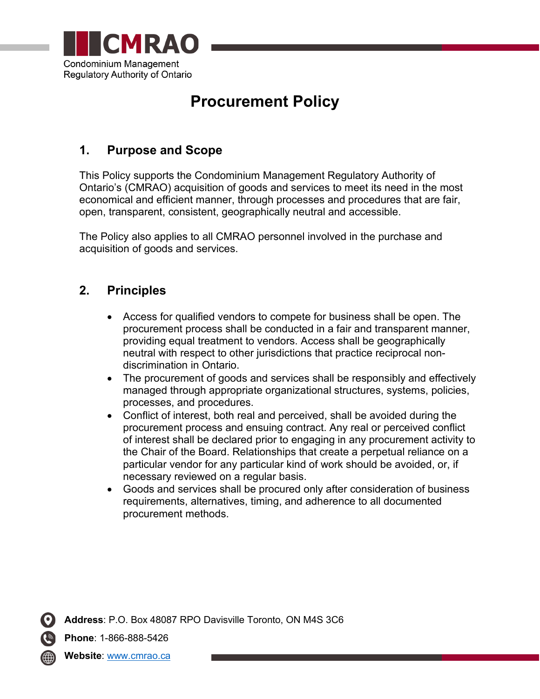

# **Procurement Policy**

## **1. Purpose and Scope**

This Policy supports the Condominium Management Regulatory Authority of Ontario's (CMRAO) acquisition of goods and services to meet its need in the most economical and efficient manner, through processes and procedures that are fair, open, transparent, consistent, geographically neutral and accessible.

The Policy also applies to all CMRAO personnel involved in the purchase and acquisition of goods and services.

### **2. Principles**

- Access for qualified vendors to compete for business shall be open. The procurement process shall be conducted in a fair and transparent manner, providing equal treatment to vendors. Access shall be geographically neutral with respect to other jurisdictions that practice reciprocal nondiscrimination in Ontario.
- The procurement of goods and services shall be responsibly and effectively managed through appropriate organizational structures, systems, policies, processes, and procedures.
- Conflict of interest, both real and perceived, shall be avoided during the procurement process and ensuing contract. Any real or perceived conflict of interest shall be declared prior to engaging in any procurement activity to the Chair of the Board. Relationships that create a perpetual reliance on a particular vendor for any particular kind of work should be avoided, or, if necessary reviewed on a regular basis.
- Goods and services shall be procured only after consideration of business requirements, alternatives, timing, and adherence to all documented procurement methods.

**Address**: P.O. Box 48087 RPO Davisville Toronto, ON M4S 3C6

**Phone**: 1-866-888-5426

**Website**: [www.cmrao.ca](http://www.cmrao.ca/)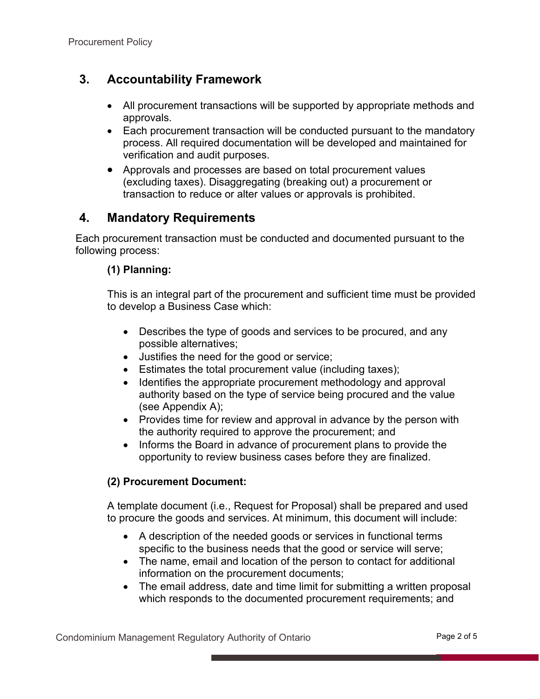### **3. Accountability Framework**

- All procurement transactions will be supported by appropriate methods and approvals.
- Each procurement transaction will be conducted pursuant to the mandatory process. All required documentation will be developed and maintained for verification and audit purposes.
- Approvals and processes are based on total procurement values (excluding taxes). Disaggregating (breaking out) a procurement or transaction to reduce or alter values or approvals is prohibited.

### **4. Mandatory Requirements**

Each procurement transaction must be conducted and documented pursuant to the following process:

#### **(1) Planning:**

This is an integral part of the procurement and sufficient time must be provided to develop a Business Case which:

- Describes the type of goods and services to be procured, and any possible alternatives;
- Justifies the need for the good or service;
- Estimates the total procurement value (including taxes);
- Identifies the appropriate procurement methodology and approval authority based on the type of service being procured and the value (see Appendix A);
- Provides time for review and approval in advance by the person with the authority required to approve the procurement; and
- Informs the Board in advance of procurement plans to provide the opportunity to review business cases before they are finalized.

#### **(2) Procurement Document:**

A template document (i.e., Request for Proposal) shall be prepared and used to procure the goods and services. At minimum, this document will include:

- A description of the needed goods or services in functional terms specific to the business needs that the good or service will serve;
- The name, email and location of the person to contact for additional information on the procurement documents;
- The email address, date and time limit for submitting a written proposal which responds to the documented procurement requirements; and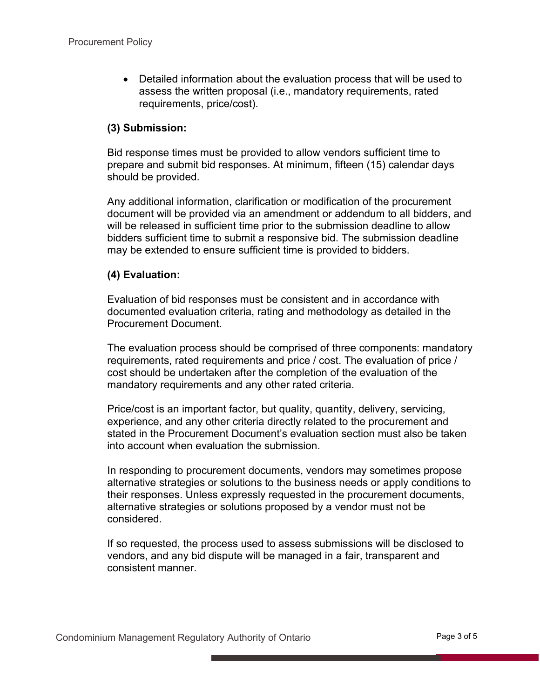• Detailed information about the evaluation process that will be used to assess the written proposal (i.e., mandatory requirements, rated requirements, price/cost).

#### **(3) Submission:**

Bid response times must be provided to allow vendors sufficient time to prepare and submit bid responses. At minimum, fifteen (15) calendar days should be provided.

Any additional information, clarification or modification of the procurement document will be provided via an amendment or addendum to all bidders, and will be released in sufficient time prior to the submission deadline to allow bidders sufficient time to submit a responsive bid. The submission deadline may be extended to ensure sufficient time is provided to bidders.

#### **(4) Evaluation:**

Evaluation of bid responses must be consistent and in accordance with documented evaluation criteria, rating and methodology as detailed in the Procurement Document.

The evaluation process should be comprised of three components: mandatory requirements, rated requirements and price / cost. The evaluation of price / cost should be undertaken after the completion of the evaluation of the mandatory requirements and any other rated criteria.

Price/cost is an important factor, but quality, quantity, delivery, servicing, experience, and any other criteria directly related to the procurement and stated in the Procurement Document's evaluation section must also be taken into account when evaluation the submission.

In responding to procurement documents, vendors may sometimes propose alternative strategies or solutions to the business needs or apply conditions to their responses. Unless expressly requested in the procurement documents, alternative strategies or solutions proposed by a vendor must not be considered.

If so requested, the process used to assess submissions will be disclosed to vendors, and any bid dispute will be managed in a fair, transparent and consistent manner.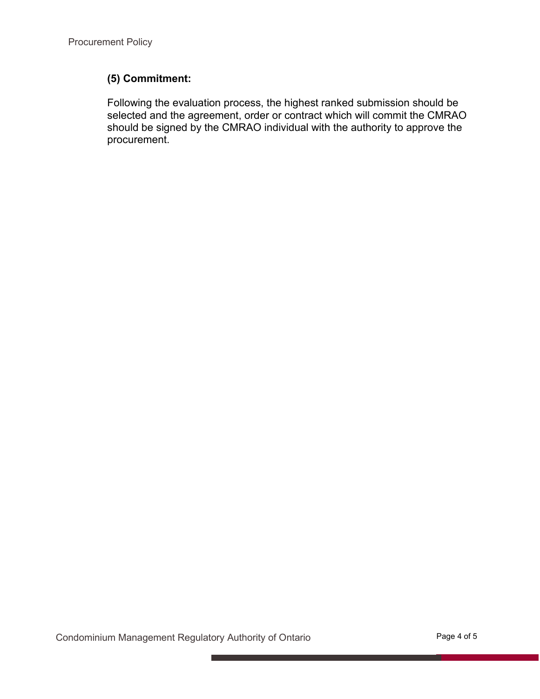#### **(5) Commitment:**

Following the evaluation process, the highest ranked submission should be selected and the agreement, order or contract which will commit the CMRAO should be signed by the CMRAO individual with the authority to approve the procurement.

Condominium Management Regulatory Authority of Ontario **Page 4 of 5**